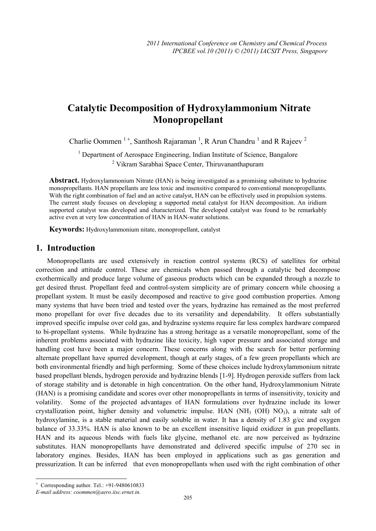# **Catalytic Decomposition of Hydroxylammonium Nitrate Monopropellant**

Charlie Oommen<sup>1+</sup>, Santhosh Rajaraman<sup>1</sup>, R Arun Chandru<sup>1</sup> and R Rajeev<sup>2</sup>

<sup>1</sup> Department of Aerospace Engineering, Indian Institute of Science, Bangalore <sup>2</sup> Vikram Sarabhai Space Center, Thiruvananthapuram

**Abstract.** Hydroxylammonium Nitrate (HAN) is being investigated as a promising substitute to hydrazine monopropellants. HAN propellants are less toxic and insensitive compared to conventional monopropellants. With the right combination of fuel and an active catalyst, HAN can be effectively used in propulsion systems. The current study focuses on developing a supported metal catalyst for HAN decomposition. An iridium supported catalyst was developed and characterized. The developed catalyst was found to be remarkably active even at very low concentration of HAN in HAN-water solutions.

**Keywords:** Hydroxylammonium nitate, monopropellant, catalyst

#### **1. Introduction**

Monopropellants are used extensively in reaction control systems (RCS) of satellites for orbital correction and attitude control. These are chemicals when passed through a catalytic bed decompose exothermically and produce large volume of gaseous products which can be expanded through a nozzle to get desired thrust. Propellant feed and control-system simplicity are of primary concern while choosing a propellant system. It must be easily decomposed and reactive to give good combustion properties. Among many systems that have been tried and tested over the years, hydrazine has remained as the most preferred mono propellant for over five decades due to its versatility and dependability. It offers substantially improved specific impulse over cold gas, and hydrazine systems require far less complex hardware compared to bi-propellant systems. While hydrazine has a strong heritage as a versatile monopropellant, some of the inherent problems associated with hydrazine like toxicity, high vapor pressure and associated storage and handling cost have been a major concern. These concerns along with the search for better performing alternate propellant have spurred development, though at early stages, of a few green propellants which are both environmental friendly and high performing. Some of these choices include hydroxylammonium nitrate based propellant blends, hydrogen peroxide and hydrazine blends [1-9]. Hydrogen peroxide suffers from lack of storage stability and is detonable in high concentration. On the other hand, Hydroxylammonium Nitrate (HAN) is a promising candidate and scores over other monopropellants in terms of insensitivity, toxicity and volatility. Some of the projected advantages of HAN formulations over hydrazine include its lower crystallization point, higher density and volumetric impulse. HAN  $(NH<sub>3</sub> (OH) NO<sub>3</sub>)$ , a nitrate salt of hydroxylamine, is a stable material and easily soluble in water. It has a density of 1.83 g/cc and oxygen balance of 33.33%. HAN is also known to be an excellent insensitive liquid oxidizer in gun propellants. HAN and its aqueous blends with fuels like glycine, methanol etc. are now perceived as hydrazine substitutes. HAN monopropellants have demonstrated and delivered specific impulse of 270 sec in laboratory engines. Besides, HAN has been employed in applications such as gas generation and pressurization. It can be inferred that even monopropellants when used with the right combination of other

 $\overline{a}$ 

<sup>+</sup> Corresponding author. Tel.: +91-9480610833

*E-mail address: coommen@aero.iisc.ernet.in.*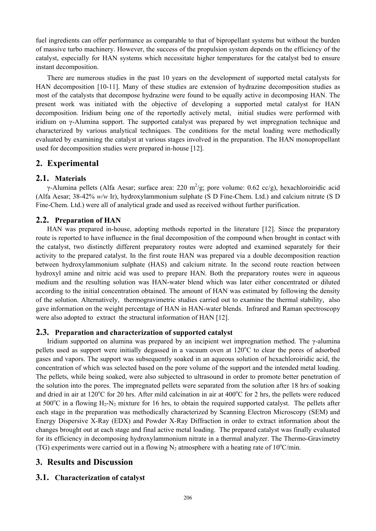fuel ingredients can offer performance as comparable to that of bipropellant systems but without the burden of massive turbo machinery. However, the success of the propulsion system depends on the efficiency of the catalyst, especially for HAN systems which necessitate higher temperatures for the catalyst bed to ensure instant decomposition.

There are numerous studies in the past 10 years on the development of supported metal catalysts for HAN decomposition [10-11]. Many of these studies are extension of hydrazine decomposition studies as most of the catalysts that decompose hydrazine were found to be equally active in decomposing HAN. The present work was initiated with the objective of developing a supported metal catalyst for HAN decomposition. Iridium being one of the reportedly actively metal, initial studies were performed with iridium on γ-Alumina support. The supported catalyst was prepared by wet impregnation technique and characterized by various analytical techniques. The conditions for the metal loading were methodically evaluated by examining the catalyst at various stages involved in the preparation. The HAN monopropellant used for decomposition studies were prepared in-house [12].

# **2. Experimental**

## **2.1. Materials**

γ-Alumina pellets (Alfa Aesar; surface area: 220 m<sup>2</sup>/g; pore volume: 0.62 cc/g), hexachloroiridic acid (Alfa Aesar; 38-42% *w/w* Ir), hydroxylammonium sulphate (S D Fine-Chem. Ltd.) and calcium nitrate (S D Fine-Chem. Ltd.) were all of analytical grade and used as received without further purification.

## **2.2. Preparation of HAN**

HAN was prepared in-house, adopting methods reported in the literature [12]. Since the preparatory route is reported to have influence in the final decomposition of the compound when brought in contact with the catalyst, two distinctly different preparatory routes were adopted and examined separately for their activity to the prepared catalyst. In the first route HAN was prepared via a double decomposition reaction between hydroxylammonium sulphate (HAS) and calcium nitrate. In the second route reaction between hydroxyl amine and nitric acid was used to prepare HAN. Both the preparatory routes were in aqueous medium and the resulting solution was HAN-water blend which was later either concentrated or diluted according to the initial concentration obtained. The amount of HAN was estimated by following the density of the solution. Alternatively, thermogravimetric studies carried out to examine the thermal stability, also gave information on the weight percentage of HAN in HAN-water blends. Infrared and Raman spectroscopy were also adopted to extract the structural information of HAN [12].

#### **2.3. Preparation and characterization of supported catalyst**

Iridium supported on alumina was prepared by an incipient wet impregnation method. The  $\gamma$ -alumina pellets used as support were initially degassed in a vacuum oven at 120°C to clear the pores of adsorbed gases and vapors. The support was subsequently soaked in an aqueous solution of hexachloroiridic acid, the concentration of which was selected based on the pore volume of the support and the intended metal loading. The pellets, while being soaked, were also subjected to ultrasound in order to promote better penetration of the solution into the pores. The impregnated pellets were separated from the solution after 18 hrs of soaking and dried in air at  $120^{\circ}$ C for 20 hrs. After mild calcination in air at  $400^{\circ}$ C for 2 hrs, the pellets were reduced at 500 $^{\circ}$ C in a flowing H<sub>2</sub>-N<sub>2</sub> mixture for 16 hrs, to obtain the required supported catalyst. The pellets after each stage in the preparation was methodically characterized by Scanning Electron Microscopy (SEM) and Energy Dispersive X-Ray (EDX) and Powder X-Ray Diffraction in order to extract information about the changes brought out at each stage and final active metal loading. The prepared catalyst was finally evaluated for its efficiency in decomposing hydroxylammonium nitrate in a thermal analyzer. The Thermo-Gravimetry (TG) experiments were carried out in a flowing  $N_2$  atmosphere with a heating rate of 10°C/min.

# **3. Results and Discussion**

# **3.1. Characterization of catalyst**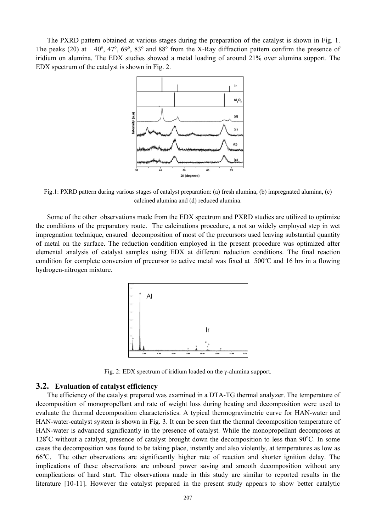The PXRD pattern obtained at various stages during the preparation of the catalyst is shown in Fig. 1. The peaks (2 $\theta$ ) at 40<sup>o</sup>, 47<sup>o</sup>, 69<sup>o</sup>, 83<sup>o</sup> and 88<sup>o</sup> from the X-Ray diffraction pattern confirm the presence of iridium on alumina. The EDX studies showed a metal loading of around 21% over alumina support. The EDX spectrum of the catalyst is shown in Fig. 2.



Fig.1: PXRD pattern during various stages of catalyst preparation: (a) fresh alumina, (b) impregnated alumina, (c) calcined alumina and (d) reduced alumina.

Some of the other observations made from the EDX spectrum and PXRD studies are utilized to optimize the conditions of the preparatory route. The calcinations procedure, a not so widely employed step in wet impregnation technique, ensured decomposition of most of the precursors used leaving substantial quantity of metal on the surface. The reduction condition employed in the present procedure was optimized after elemental analysis of catalyst samples using EDX at different reduction conditions. The final reaction condition for complete conversion of precursor to active metal was fixed at  $500^{\circ}$ C and 16 hrs in a flowing hydrogen-nitrogen mixture.



Fig. 2: EDX spectrum of iridium loaded on the γ-alumina support.

#### **3.2. Evaluation of catalyst efficiency**

The efficiency of the catalyst prepared was examined in a DTA-TG thermal analyzer. The temperature of decomposition of monopropellant and rate of weight loss during heating and decomposition were used to evaluate the thermal decomposition characteristics. A typical thermogravimetric curve for HAN-water and HAN-water-catalyst system is shown in Fig. 3. It can be seen that the thermal decomposition temperature of HAN-water is advanced significantly in the presence of catalyst. While the monopropellant decomposes at 128°C without a catalyst, presence of catalyst brought down the decomposition to less than 90°C. In some cases the decomposition was found to be taking place, instantly and also violently, at temperatures as low as 66°C. The other observations are significantly higher rate of reaction and shorter ignition delay. The implications of these observations are onboard power saving and smooth decomposition without any complications of hard start. The observations made in this study are similar to reported results in the literature [10-11]. However the catalyst prepared in the present study appears to show better catalytic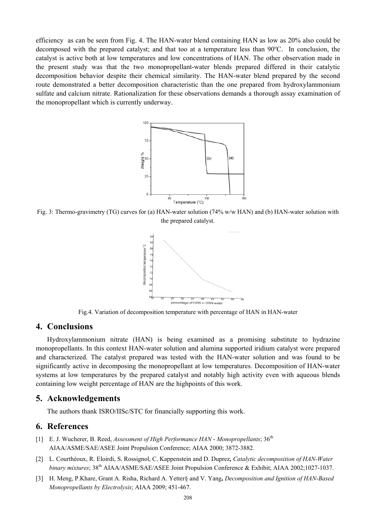efficiency as can be seen from Fig. 4. The HAN-water blend containing HAN as low as 20% also could be decomposed with the prepared catalyst; and that too at a temperature less than 90°C. In conclusion, the catalyst is active both at low temperatures and low concentrations of HAN. The other observation made in the present study was that the two monopropellant-water blends prepared differed in their catalytic decomposition behavior despite their chemical similarity. The HAN-water blend prepared by the second route demonstrated a better decomposition characteristic than the one prepared from hydroxylammonium sulfate and calcium nitrate. Rationalization for these observations demands a thorough assay examination of the monopropellant which is currently underway.



Fig. 3: Thermo-gravimetry (TG) curves for (a) HAN-water solution (74% w/w HAN) and (b) HAN-water solution with the prepared catalyst.



Fig.4. Variation of decomposition temperature with percentage of HAN in HAN-water

#### **4. Conclusions**

Hydroxylammonium nitrate (HAN) is being examined as a promising substitute to hydrazine monopropellants. In this context HAN-water solution and alumina supported iridium catalyst were prepared and characterized. The catalyst prepared was tested with the HAN-water solution and was found to be significantly active in decomposing the monopropellant at low temperatures. Decomposition of HAN-water systems at low temperatures by the prepared catalyst and notably high activity even with aqueous blends containing low weight percentage of HAN are the highpoints of this work.

#### **5. Acknowledgements**

The authors thank ISRO/IISc/STC for financially supporting this work.

## **6. References**

- [1] E. J. Wucherer, B. Reed, *Assessment of High Performance HAN Monopropellants*; 36th AIAA/ASME/SAE/ASEE Joint Propulsion Conference; AIAA 2000; 3872-3882.
- [2] L. Courthéoux, R. Eloirdi, S. Rossignol, C. Kappenstein and D. Duprez*, Catalytic decomposition of HAN-Water binary mixtures*; 38th AIAA/ASME/SAE/ASEE Joint Propulsion Conference & Exhibit; AIAA 2002;1027-1037.
- [3] H. Meng, P.Khare, Grant A. Risha, Richard A. Yetter§ and V. Yang**,** *Decomposition and Ignition of HAN-Based Monopropellants by Electrolysis*; AIAA 2009; 451-467.